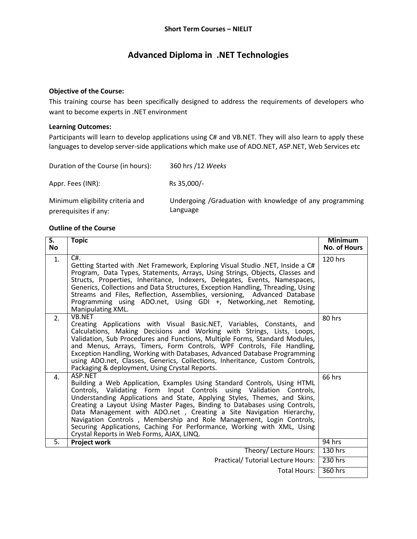## **Advanced Diploma in .NET Technologies**

## **Objective of the Course:**

This training course has been specifically designed to address the requirements of developers who want to become experts in .NET environment

## **Learning Outcomes:**

Participants will learn to develop applications using C# and VB.NET. They will also learn to apply these languages to develop server-side applications which make use of ADO.NET, ASP.NET, Web Services etc

| Duration of the Course (in hours):                        | 360 hrs /12 Weeks                                                    |
|-----------------------------------------------------------|----------------------------------------------------------------------|
| Appr. Fees (INR):                                         | Rs 35,000/-                                                          |
| Minimum eligibility criteria and<br>prerequisites if any: | Undergoing /Graduation with knowledge of any programming<br>Language |

## **Outline of the Course**

| $\overline{\mathsf{S}}$ .<br><b>No</b> | <b>Topic</b>                                                                                                                                                                                                                                                                                                                                                                                                                                                                                                                                                                                 | <b>Minimum</b><br><b>No. of Hours</b> |
|----------------------------------------|----------------------------------------------------------------------------------------------------------------------------------------------------------------------------------------------------------------------------------------------------------------------------------------------------------------------------------------------------------------------------------------------------------------------------------------------------------------------------------------------------------------------------------------------------------------------------------------------|---------------------------------------|
| 1.                                     | $\overline{C}$<br>Getting Started with .Net Framework, Exploring Visual Studio .NET, Inside a C#<br>Program, Data Types, Statements, Arrays, Using Strings, Objects, Classes and<br>Structs, Properties, Inheritance, Indexers, Delegates, Events, Namespaces,<br>Generics, Collections and Data Structures, Exception Handling, Threading, Using<br>Streams and Files, Reflection, Assemblies, versioning, Advanced Database<br>Programming using ADO.net, Using GDI +, Networking, net Remoting,<br>Manipulating XML.                                                                      | 120 hrs                               |
| 2.                                     | <b>VB.NET</b><br>Creating Applications with Visual Basic.NET, Variables, Constants, and<br>Calculations, Making Decisions and Working with Strings, Lists, Loops,<br>Validation, Sub Procedures and Functions, Multiple Forms, Standard Modules,<br>and Menus, Arrays, Timers, Form Controls, WPF Controls, File Handling,<br>Exception Handling, Working with Databases, Advanced Database Programming<br>using ADO.net, Classes, Generics, Collections, Inheritance, Custom Controls,<br>Packaging & deployment, Using Crystal Reports.                                                    | 80 hrs                                |
| 4.                                     | ASP.NET<br>Building a Web Application, Examples Using Standard Controls, Using HTML<br>Controls, Validating Form Input Controls using Validation Controls,<br>Understanding Applications and State, Applying Styles, Themes, and Skins,<br>Creating a Layout Using Master Pages, Binding to Databases using Controls,<br>Data Management with ADO.net, Creating a Site Navigation Hierarchy,<br>Navigation Controls, Membership and Role Management, Login Controls,<br>Securing Applications, Caching For Performance, Working with XML, Using<br>Crystal Reports in Web Forms, AJAX, LINQ. | 66 hrs                                |
| 5.                                     | Project work                                                                                                                                                                                                                                                                                                                                                                                                                                                                                                                                                                                 | 94 hrs                                |
|                                        | Theory/Lecture Hours:                                                                                                                                                                                                                                                                                                                                                                                                                                                                                                                                                                        | 130 hrs                               |
|                                        | <b>Practical/ Tutorial Lecture Hours:</b>                                                                                                                                                                                                                                                                                                                                                                                                                                                                                                                                                    | 230 hrs                               |
|                                        | Total Hours:                                                                                                                                                                                                                                                                                                                                                                                                                                                                                                                                                                                 | 360 hrs                               |